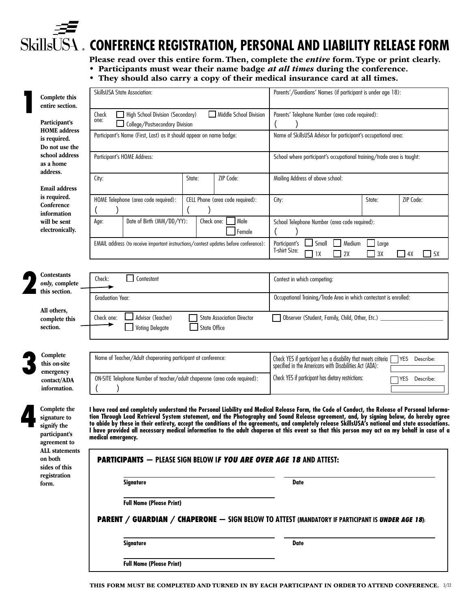# **CONFERENCE REGISTRATION, PERSONAL AND LIABILITY RELEASE FORM**

Please read over this entire form. Then, complete the *entire* form. Type or print clearly.

- Participants must wear their name badge *at all times* during the conference.
- They should also carry a copy of their medical insurance card at all times.

| Complete this                                                                                         | <b>SkillsUSA State Association:</b>                                                                                                        | Parents'/Guardians' Names (if participant is under age 18):                                                                                                                                                                                                                                                                                                                                                                                                                                                                                                                               |
|-------------------------------------------------------------------------------------------------------|--------------------------------------------------------------------------------------------------------------------------------------------|-------------------------------------------------------------------------------------------------------------------------------------------------------------------------------------------------------------------------------------------------------------------------------------------------------------------------------------------------------------------------------------------------------------------------------------------------------------------------------------------------------------------------------------------------------------------------------------------|
| entire section.<br>Participant's<br><b>HOME</b> address                                               | Middle School Division<br>Check<br>High School Division (Secondary)<br>one:<br>College/Postsecondary Division                              | Parents' Telephone Number (area code required):                                                                                                                                                                                                                                                                                                                                                                                                                                                                                                                                           |
| is required.<br>Do not use the                                                                        | Participant's Name (First, Last) as it should appear on name badge:                                                                        | Name of SkillsUSA Advisor for participant's occupational area:                                                                                                                                                                                                                                                                                                                                                                                                                                                                                                                            |
| school address<br>as a home                                                                           | Participant's HOME Address:                                                                                                                | School where participant's occupational training/trade area is taught:                                                                                                                                                                                                                                                                                                                                                                                                                                                                                                                    |
| address.<br><b>Email address</b>                                                                      | ZIP Code:<br>City:<br>State:                                                                                                               | Mailing Address of above school:                                                                                                                                                                                                                                                                                                                                                                                                                                                                                                                                                          |
| is required.<br>Conference                                                                            | HOME Telephone (area code required):<br>CELL Phone (area code required):                                                                   | ZIP Code:<br>City:<br>State:                                                                                                                                                                                                                                                                                                                                                                                                                                                                                                                                                              |
| information<br>will be sent<br>electronically.                                                        | Date of Birth (MM/DD/YY):<br>Check one:<br>Male<br>Age:<br>Female                                                                          | School Telephone Number (area code required):                                                                                                                                                                                                                                                                                                                                                                                                                                                                                                                                             |
|                                                                                                       | EMAIL address (to receive important instructions/contest updates before conference):                                                       | Medium<br>Participant's<br>Small<br>Large<br>T-shirt Size:<br>2X<br>3X<br>5X<br>1X<br>4X                                                                                                                                                                                                                                                                                                                                                                                                                                                                                                  |
| Contestants<br>only, complete<br>this section.                                                        | Contestant<br>Check:                                                                                                                       | Contest in which competing:                                                                                                                                                                                                                                                                                                                                                                                                                                                                                                                                                               |
| All others,                                                                                           | <b>Graduation Year:</b>                                                                                                                    | Occupational Training/Trade Area in which contestant is enrolled:                                                                                                                                                                                                                                                                                                                                                                                                                                                                                                                         |
| complete this<br>section.                                                                             | Advisor (Teacher)<br>Check one:<br><b>State Association Director</b><br><b>State Office</b><br><b>Voting Delegate</b>                      | Observer (Student, Family, Child, Other, Etc.)                                                                                                                                                                                                                                                                                                                                                                                                                                                                                                                                            |
| Complete<br>this on-site<br>emergency                                                                 | Name of Teacher/Adult chaperoning participant at conference:                                                                               | Check YES if participant has a disability that meets criteria [<br>YES Describe:<br>specified in the Americans with Disabilities Act (ADA):                                                                                                                                                                                                                                                                                                                                                                                                                                               |
| contact/ADA<br>information.                                                                           | ON-SITE Telephone Number of teacher/adult chaperone (area code required):                                                                  | Check YES if participant has dietary restrictions:<br>YES<br>Describe:                                                                                                                                                                                                                                                                                                                                                                                                                                                                                                                    |
| Complete the<br>signature to<br>signify the<br>participant's<br>agreement to<br><b>ALL</b> statements | medical emergency.                                                                                                                         | I have read and completely understand the Personal Liability and Medical Release Form, the Code of Conduct, the Release of Personal Informa-<br>tion Through Lead Retrieval System statement, and the Photography and Sound Release agreement, and, by signing below, do hereby agree<br>to abide by these in their entirety, accept the conditions of the agreements, and completely release SkillsUSA's national and state associations.<br>I have provided all necessary medical information to the adult chaperon at this event so that this person may act on my behalf in case of a |
| on both<br>sides of this<br>registration                                                              | <b>PARTICIPANTS - PLEASE SIGN BELOW IF YOU ARE OVER AGE 18 AND ATTEST:</b>                                                                 |                                                                                                                                                                                                                                                                                                                                                                                                                                                                                                                                                                                           |
| form.                                                                                                 | <b>Signature</b>                                                                                                                           | <b>Date</b>                                                                                                                                                                                                                                                                                                                                                                                                                                                                                                                                                                               |
|                                                                                                       | <b>Full Name (Please Print)</b><br><b>PARENT / GUARDIAN / CHAPERONE — SIGN BELOW TO ATTEST (MANDATORY IF PARTICIPANT IS UNDER AGE 18):</b> |                                                                                                                                                                                                                                                                                                                                                                                                                                                                                                                                                                                           |
|                                                                                                       | Signature                                                                                                                                  | <b>Date</b>                                                                                                                                                                                                                                                                                                                                                                                                                                                                                                                                                                               |
|                                                                                                       | <b>Full Name (Please Print)</b>                                                                                                            |                                                                                                                                                                                                                                                                                                                                                                                                                                                                                                                                                                                           |